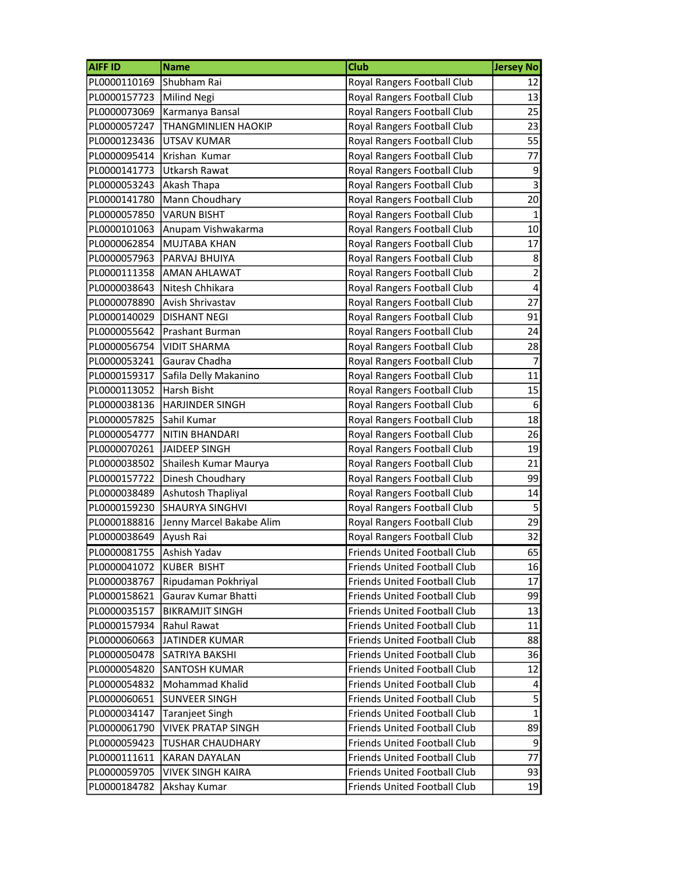| <b>AIFF ID</b>            | <b>Name</b>               | Club                                | <b>Jersey No</b> |
|---------------------------|---------------------------|-------------------------------------|------------------|
| PL0000110169              | Shubham Rai               | Royal Rangers Football Club         | 12               |
| PL0000157723              | Milind Negi               | Royal Rangers Football Club         | 13               |
| PL0000073069              | Karmanya Bansal           | Royal Rangers Football Club         | 25               |
| PL0000057247              | THANGMINLIEN HAOKIP       | Royal Rangers Football Club         | 23               |
| PL0000123436              | <b>UTSAV KUMAR</b>        | Royal Rangers Football Club         | 55               |
| PL0000095414              | Krishan Kumar             | Royal Rangers Football Club         | 77               |
| PL0000141773              | Utkarsh Rawat             | Royal Rangers Football Club         | $\overline{9}$   |
| PL0000053243              | Akash Thapa               | Royal Rangers Football Club         | $\overline{3}$   |
| PL0000141780              | Mann Choudhary            | Royal Rangers Football Club         | 20               |
| PL0000057850              | <b>VARUN BISHT</b>        | Royal Rangers Football Club         | $1\vert$         |
| PL0000101063              | Anupam Vishwakarma        | Royal Rangers Football Club         | 10 <sup>1</sup>  |
| PL0000062854              | MUJTABA KHAN              | Royal Rangers Football Club         | 17               |
| PL0000057963              | PARVAJ BHUIYA             | Royal Rangers Football Club         | $\mathbf{8}$     |
| PL0000111358              | <b>AMAN AHLAWAT</b>       | Royal Rangers Football Club         | $\overline{2}$   |
| PL0000038643              | Nitesh Chhikara           | Royal Rangers Football Club         | $\vert 4 \vert$  |
| PL0000078890              | Avish Shrivastav          | Royal Rangers Football Club         | 27               |
| PL0000140029              | <b>DISHANT NEGI</b>       | Royal Rangers Football Club         | 91               |
| PL0000055642              | Prashant Burman           | Royal Rangers Football Club         | 24               |
| PL0000056754              | <b>VIDIT SHARMA</b>       | Royal Rangers Football Club         | 28               |
| PL0000053241              | Gaurav Chadha             | Royal Rangers Football Club         | $\overline{7}$   |
| PL0000159317              | Safila Delly Makanino     | Royal Rangers Football Club         | 11               |
| PL0000113052              | Harsh Bisht               | Royal Rangers Football Club         | 15               |
| PL0000038136              | <b>HARJINDER SINGH</b>    | Royal Rangers Football Club         | 6                |
| PL0000057825              | Sahil Kumar               | Royal Rangers Football Club         | 18               |
| PL0000054777              | NITIN BHANDARI            | Royal Rangers Football Club         | 26               |
| PL0000070261              | JAIDEEP SINGH             | Royal Rangers Football Club         | 19               |
| PL0000038502              | Shailesh Kumar Maurya     | Royal Rangers Football Club         | 21               |
| PL0000157722              | Dinesh Choudhary          | Royal Rangers Football Club         | 99               |
| PL0000038489              | Ashutosh Thapliyal        | Royal Rangers Football Club         | 14               |
| PL0000159230              | SHAURYA SINGHVI           | Royal Rangers Football Club         | $\overline{5}$   |
| PL0000188816              | Jenny Marcel Bakabe Alim  | Royal Rangers Football Club         | 29               |
| PL0000038649              | Ayush Rai                 | Royal Rangers Football Club         | 32               |
| PL0000081755 Ashish Yadav |                           | <b>Friends United Football Club</b> | 65               |
| PL0000041072              | <b>KUBER BISHT</b>        | Friends United Football Club        | 16               |
| PL0000038767              | Ripudaman Pokhriyal       | Friends United Football Club        | 17               |
| PL0000158621              | Gaurav Kumar Bhatti       | <b>Friends United Football Club</b> | 99               |
| PL0000035157              | <b>BIKRAMJIT SINGH</b>    | Friends United Football Club        | 13               |
| PL0000157934              | Rahul Rawat               | <b>Friends United Football Club</b> | 11               |
| PL0000060663              | JATINDER KUMAR            | <b>Friends United Football Club</b> | 88               |
| PL0000050478              | SATRIYA BAKSHI            | <b>Friends United Football Club</b> | 36               |
| PL0000054820              | SANTOSH KUMAR             | <b>Friends United Football Club</b> | 12               |
| PL0000054832              | Mohammad Khalid           | <b>Friends United Football Club</b> | $\vert 4 \vert$  |
| PL0000060651              | SUNVEER SINGH             | Friends United Football Club        | $\mathsf{S}$     |
| PL0000034147              | <b>Taranjeet Singh</b>    | <b>Friends United Football Club</b> | $\mathbf 1$      |
| PL0000061790              | <b>VIVEK PRATAP SINGH</b> | Friends United Football Club        | 89               |
| PL0000059423              | <b>TUSHAR CHAUDHARY</b>   | <b>Friends United Football Club</b> | $\mathsf{g}$     |
| PL0000111611              | <b>KARAN DAYALAN</b>      | Friends United Football Club        | 77               |
| PL0000059705              | <b>VIVEK SINGH KAIRA</b>  | Friends United Football Club        | 93               |
| PL0000184782              | Akshay Kumar              | Friends United Football Club        | 19               |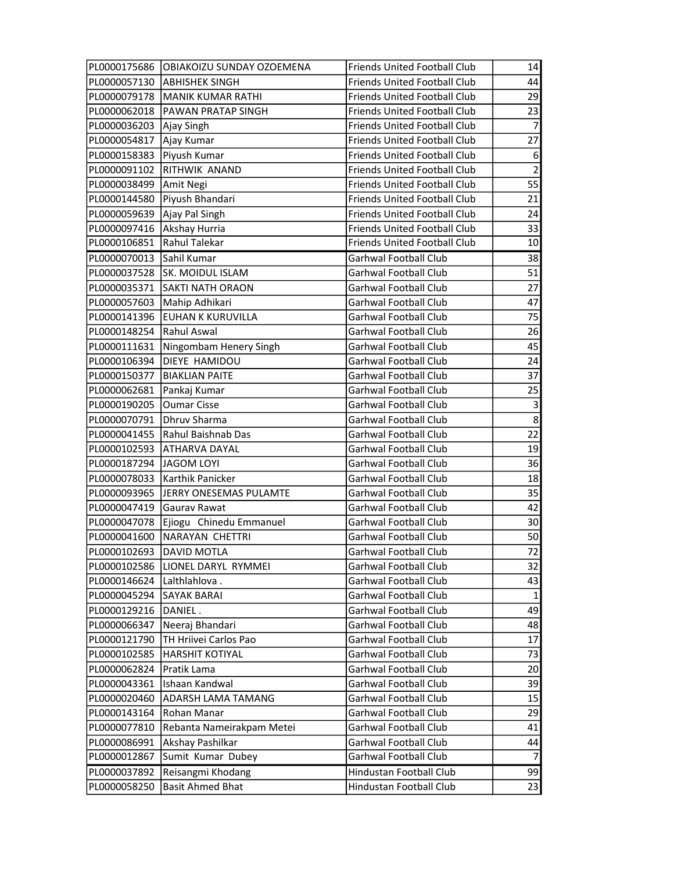|                               | PL0000175686 OBIAKOIZU SUNDAY OZOEMENA | <b>Friends United Football Club</b> | 14               |
|-------------------------------|----------------------------------------|-------------------------------------|------------------|
|                               | PL0000057130 ABHISHEK SINGH            | <b>Friends United Football Club</b> | 44               |
|                               | PL0000079178   MANIK KUMAR RATHI       | <b>Friends United Football Club</b> | 29               |
| PL0000062018                  | <b>PAWAN PRATAP SINGH</b>              | <b>Friends United Football Club</b> | 23               |
| PL0000036203   Ajay Singh     |                                        | <b>Friends United Football Club</b> | $\overline{7}$   |
| PL0000054817                  | Ajay Kumar                             | <b>Friends United Football Club</b> | $\overline{27}$  |
| PL0000158383                  | Piyush Kumar                           | <b>Friends United Football Club</b> | $6 \mid$         |
| PL0000091102                  | RITHWIK ANAND                          | <b>Friends United Football Club</b> | $\overline{2}$   |
| PL0000038499   Amit Negi      |                                        | <b>Friends United Football Club</b> | 55               |
|                               | PL0000144580 Piyush Bhandari           | <b>Friends United Football Club</b> | 21               |
| PL0000059639   Ajay Pal Singh |                                        | <b>Friends United Football Club</b> | 24               |
| PL0000097416 Akshay Hurria    |                                        | <b>Friends United Football Club</b> | 33               |
| PL0000106851                  | Rahul Talekar                          | <b>Friends United Football Club</b> | 10               |
| PL0000070013                  | Sahil Kumar                            | Garhwal Football Club               | 38               |
| PL0000037528                  | SK. MOIDUL ISLAM                       | Garhwal Football Club               | 51               |
| PL0000035371                  | SAKTI NATH ORAON                       | Garhwal Football Club               | 27               |
| PL0000057603                  | Mahip Adhikari                         | Garhwal Football Club               | 47               |
|                               | PL0000141396 EUHAN K KURUVILLA         | Garhwal Football Club               | 75               |
| PL0000148254 Rahul Aswal      |                                        | Garhwal Football Club               | 26               |
| PL0000111631                  | Ningombam Henery Singh                 | Garhwal Football Club               | 45               |
| PL0000106394                  | DIEYE HAMIDOU                          | Garhwal Football Club               | 24               |
| PL0000150377                  | <b>BIAKLIAN PAITE</b>                  | Garhwal Football Club               | 37               |
| PL0000062681                  | Pankaj Kumar                           | Garhwal Football Club               | 25               |
| PL0000190205                  | <b>Oumar Cisse</b>                     | Garhwal Football Club               | $\overline{3}$   |
| PL0000070791                  | Dhruv Sharma                           | Garhwal Football Club               | $\boldsymbol{8}$ |
| PL0000041455                  | Rahul Baishnab Das                     | Garhwal Football Club               | 22               |
| PL0000102593                  | <b>ATHARVA DAYAL</b>                   | Garhwal Football Club               | 19               |
| PL0000187294  JAGOM LOYI      |                                        | Garhwal Football Club               | 36               |
| PL0000078033                  | Karthik Panicker                       | Garhwal Football Club               | 18               |
|                               | PL0000093965 JERRY ONESEMAS PULAMTE    | Garhwal Football Club               | 35               |
| PL0000047419                  | Gaurav Rawat                           | Garhwal Football Club               | 42               |
|                               | PL0000047078 Ejiogu Chinedu Emmanuel   | Garhwal Football Club               | 30 <sup>°</sup>  |
| PL0000041600                  | NARAYAN CHETTRI                        | Garhwal Football Club               | 50               |
| PL0000102693  DAVID MOTLA     |                                        | Garhwal Football Club               | 72               |
|                               | PL0000102586 LIONEL DARYL RYMMEI       | Garhwal Football Club               | 32               |
| PL0000146624                  | Lalthlahlova.                          | Garhwal Football Club               | 43               |
| PL0000045294                  | SAYAK BARAI                            | Garhwal Football Club               | $\mathbf 1$      |
| PL0000129216                  | DANIEL.                                | Garhwal Football Club               | 49               |
| PL0000066347                  | Neeraj Bhandari                        | Garhwal Football Club               | 48               |
| PL0000121790                  | TH Hriivei Carlos Pao                  | Garhwal Football Club               | 17               |
| PL0000102585                  | <b>HARSHIT KOTIYAL</b>                 | Garhwal Football Club               | 73               |
| PL0000062824                  | Pratik Lama                            | Garhwal Football Club               | 20 <sub>2</sub>  |
| PL0000043361                  | Ishaan Kandwal                         | Garhwal Football Club               | 39               |
| PL0000020460                  | <b>ADARSH LAMA TAMANG</b>              | Garhwal Football Club               | 15               |
| PL0000143164                  | Rohan Manar                            | Garhwal Football Club               | 29               |
| PL0000077810                  | Rebanta Nameirakpam Metei              | Garhwal Football Club               | 41               |
| PL0000086991                  | Akshay Pashilkar                       | Garhwal Football Club               | 44               |
| PL0000012867                  | Sumit Kumar Dubey                      | Garhwal Football Club               | $\overline{7}$   |
| PL0000037892                  | Reisangmi Khodang                      | Hindustan Football Club             | 99               |
| PL0000058250                  | <b>Basit Ahmed Bhat</b>                | Hindustan Football Club             | 23               |
|                               |                                        |                                     |                  |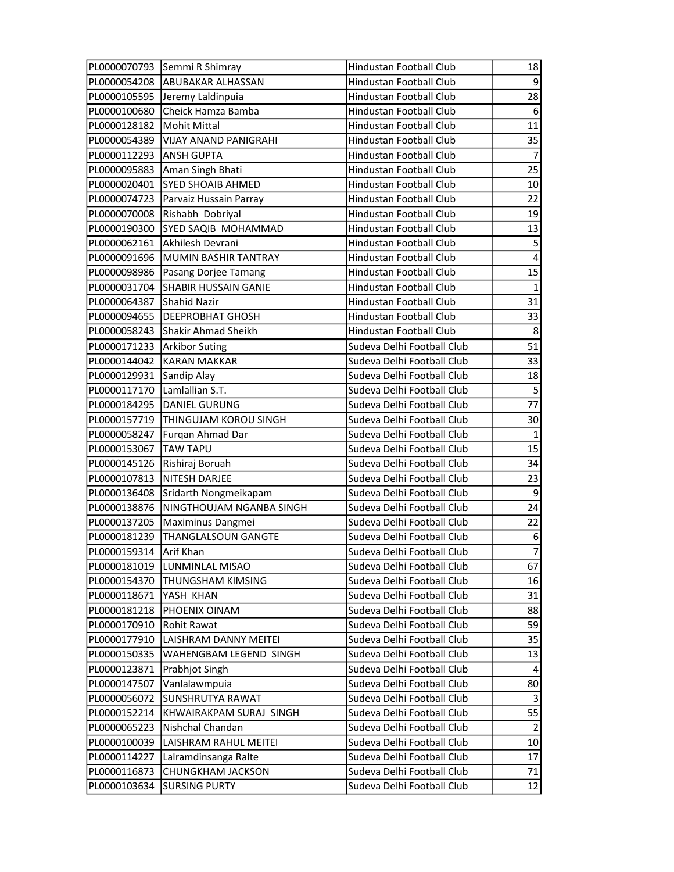|                        | PL0000070793 Semmi R Shimray  | Hindustan Football Club    | 18                      |
|------------------------|-------------------------------|----------------------------|-------------------------|
| PL0000054208           | ABUBAKAR ALHASSAN             | Hindustan Football Club    | $\overline{9}$          |
| PL0000105595           | Jeremy Laldinpuia             | Hindustan Football Club    | 28                      |
| PL0000100680           | Cheick Hamza Bamba            | Hindustan Football Club    | 6                       |
| PL0000128182           | Mohit Mittal                  | Hindustan Football Club    | $\overline{11}$         |
| PL0000054389           | <b>VIJAY ANAND PANIGRAHI</b>  | Hindustan Football Club    | 35                      |
| PL0000112293           | <b>ANSH GUPTA</b>             | Hindustan Football Club    | $\overline{7}$          |
| PL0000095883           | Aman Singh Bhati              | Hindustan Football Club    | 25                      |
| PL0000020401           | <b>SYED SHOAIB AHMED</b>      | Hindustan Football Club    | 10 <sup>1</sup>         |
| PL0000074723           | Parvaiz Hussain Parray        | Hindustan Football Club    | 22                      |
| PL0000070008           | Rishabh Dobriyal              | Hindustan Football Club    | 19                      |
| PL0000190300           | SYED SAQIB MOHAMMAD           | Hindustan Football Club    | 13                      |
| PL0000062161           | Akhilesh Devrani              | Hindustan Football Club    | $\overline{\mathbf{5}}$ |
| PL0000091696           | MUMIN BASHIR TANTRAY          | Hindustan Football Club    | $\overline{4}$          |
| PL0000098986           | Pasang Dorjee Tamang          | Hindustan Football Club    | $\overline{15}$         |
| PL0000031704           | <b>SHABIR HUSSAIN GANIE</b>   | Hindustan Football Club    | $\mathbf{1}$            |
| PL0000064387           | Shahid Nazir                  | Hindustan Football Club    | 31                      |
| PL0000094655           | DEEPROBHAT GHOSH              | Hindustan Football Club    | 33                      |
| PL0000058243           | Shakir Ahmad Sheikh           | Hindustan Football Club    | 8 <sup>1</sup>          |
| PL0000171233           | <b>Arkibor Suting</b>         | Sudeva Delhi Football Club | $\overline{51}$         |
| PL0000144042           | <b>KARAN MAKKAR</b>           | Sudeva Delhi Football Club | 33                      |
| PL0000129931           | Sandip Alay                   | Sudeva Delhi Football Club | 18                      |
| PL0000117170           | Lamlallian S.T.               | Sudeva Delhi Football Club | $\overline{\mathbf{5}}$ |
| PL0000184295           | <b>DANIEL GURUNG</b>          | Sudeva Delhi Football Club | 77                      |
| PL0000157719           | THINGUJAM KOROU SINGH         | Sudeva Delhi Football Club | 30 <sub>2</sub>         |
| PL0000058247           | Furgan Ahmad Dar              | Sudeva Delhi Football Club | $\mathbf{1}$            |
| PL0000153067           | <b>TAW TAPU</b>               | Sudeva Delhi Football Club | 15                      |
| PL0000145126           | Rishiraj Boruah               | Sudeva Delhi Football Club | 34                      |
| PL0000107813           | NITESH DARJEE                 | Sudeva Delhi Football Club | 23                      |
| PL0000136408           | Sridarth Nongmeikapam         | Sudeva Delhi Football Club | $\mathsf{g}$            |
| PL0000138876           | NINGTHOUJAM NGANBA SINGH      | Sudeva Delhi Football Club | 24                      |
| PL0000137205           | Maximinus Dangmei             | Sudeva Delhi Football Club | 22                      |
| PL0000181239           | THANGLALSOUN GANGTE           | Sudeva Delhi Football Club | $6 \mid$                |
| PL0000159314 Arif Khan |                               | Sudeva Delhi Football Club | $\overline{7}$          |
|                        | PL0000181019  LUNMINLAL MISAO | Sudeva Delhi Football Club | 67                      |
| PL0000154370           | <b>THUNGSHAM KIMSING</b>      | Sudeva Delhi Football Club | 16                      |
| PL0000118671           | YASH KHAN                     | Sudeva Delhi Football Club | 31                      |
| PL0000181218           | PHOENIX OINAM                 | Sudeva Delhi Football Club | 88                      |
| PL0000170910           | Rohit Rawat                   | Sudeva Delhi Football Club | 59                      |
| PL0000177910           | LAISHRAM DANNY MEITEI         | Sudeva Delhi Football Club | 35                      |
| PL0000150335           | WAHENGBAM LEGEND SINGH        | Sudeva Delhi Football Club | 13                      |
| PL0000123871           | Prabhjot Singh                | Sudeva Delhi Football Club | 4                       |
| PL0000147507           | Vanlalawmpuia                 | Sudeva Delhi Football Club | 80                      |
| PL0000056072           | SUNSHRUTYA RAWAT              | Sudeva Delhi Football Club | $\vert 3 \vert$         |
| PL0000152214           | KHWAIRAKPAM SURAJ SINGH       | Sudeva Delhi Football Club | 55                      |
| PL0000065223           | Nishchal Chandan              | Sudeva Delhi Football Club | $\overline{2}$          |
| PL0000100039           | LAISHRAM RAHUL MEITEI         | Sudeva Delhi Football Club | 10 <sup>1</sup>         |
| PL0000114227           | Lalramdinsanga Ralte          | Sudeva Delhi Football Club | 17                      |
| PL0000116873           | <b>CHUNGKHAM JACKSON</b>      | Sudeva Delhi Football Club | 71                      |
| PL0000103634           | <b>SURSING PURTY</b>          | Sudeva Delhi Football Club | 12                      |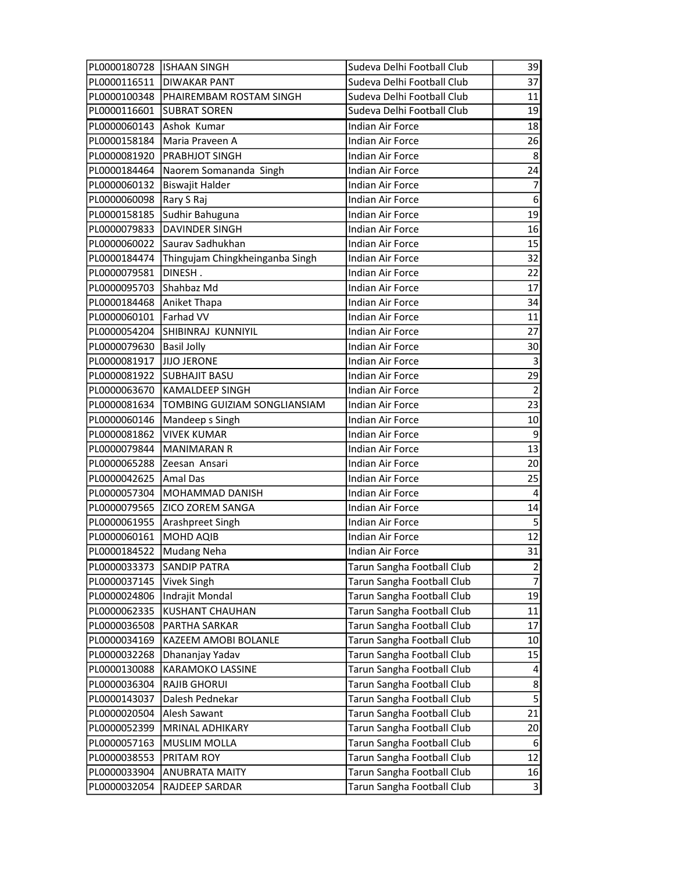| PL0000180728 ISHAAN SINGH  |                                        | Sudeva Delhi Football Club | 39                      |
|----------------------------|----------------------------------------|----------------------------|-------------------------|
|                            | PL0000116511 DIWAKAR PANT              | Sudeva Delhi Football Club | 37                      |
|                            | PL0000100348   PHAIREMBAM ROSTAM SINGH | Sudeva Delhi Football Club | 11                      |
| PL0000116601               | <b>SUBRAT SOREN</b>                    | Sudeva Delhi Football Club | 19                      |
| PL0000060143               | Ashok Kumar                            | Indian Air Force           | 18                      |
| PL0000158184               | Maria Praveen A                        | Indian Air Force           | 26                      |
| PL0000081920               | <b>PRABHJOT SINGH</b>                  | Indian Air Force           | 8 <sup>°</sup>          |
| PL0000184464               | Naorem Somananda Singh                 | Indian Air Force           | 24                      |
| PL0000060132               | Biswajit Halder                        | Indian Air Force           | $\overline{7}$          |
| PL0000060098               | Rary S Raj                             | <b>Indian Air Force</b>    | 6                       |
| PL0000158185               | Sudhir Bahuguna                        | Indian Air Force           | 19                      |
| PL0000079833               | <b>DAVINDER SINGH</b>                  | <b>Indian Air Force</b>    | 16                      |
| PL0000060022               | Saurav Sadhukhan                       | Indian Air Force           | 15                      |
| PL0000184474               | Thingujam Chingkheinganba Singh        | Indian Air Force           | 32                      |
| PL0000079581               | DINESH.                                | Indian Air Force           | 22                      |
| PL0000095703               | Shahbaz Md                             | Indian Air Force           | 17                      |
| PL0000184468               | Aniket Thapa                           | Indian Air Force           | 34                      |
| PL0000060101               | Farhad VV                              | Indian Air Force           | 11                      |
| PL0000054204               | SHIBINRAJ KUNNIYIL                     | <b>Indian Air Force</b>    | 27                      |
| PL0000079630               | <b>Basil Jolly</b>                     | Indian Air Force           | 30 <sup>2</sup>         |
| PL0000081917               | <b>JIJO JERONE</b>                     | Indian Air Force           | $\overline{\mathbf{3}}$ |
| PL0000081922               | <b>SUBHAJIT BASU</b>                   | Indian Air Force           | 29                      |
| PL0000063670               | KAMALDEEP SINGH                        | Indian Air Force           | $\overline{2}$          |
| PL0000081634               | TOMBING GUIZIAM SONGLIANSIAM           | Indian Air Force           | 23                      |
| PL0000060146               | Mandeep s Singh                        | Indian Air Force           | 10                      |
| PL0000081862               | <b>VIVEK KUMAR</b>                     | Indian Air Force           | 9                       |
| PL0000079844               | <b>MANIMARAN R</b>                     | Indian Air Force           | 13                      |
| PL0000065288               | Zeesan Ansari                          | <b>Indian Air Force</b>    | 20 <sup>°</sup>         |
| PL0000042625               | Amal Das                               | Indian Air Force           | 25                      |
| PL0000057304               | MOHAMMAD DANISH                        | Indian Air Force           | $\overline{4}$          |
| PL0000079565               | <b>ZICO ZOREM SANGA</b>                | Indian Air Force           | 14                      |
|                            | PL0000061955   Arashpreet Singh        | Indian Air Force           | $\mathsf S$             |
| PL0000060161               | <b>MOHD AQIB</b>                       | Indian Air Force           | $\overline{12}$         |
| PL0000184522   Mudang Neha |                                        | Indian Air Force           | 31                      |
| PL0000033373               | <b>SANDIP PATRA</b>                    | Tarun Sangha Football Club | $\overline{2}$          |
| PL0000037145               | Vivek Singh                            | Tarun Sangha Football Club | $\overline{7}$          |
| PL0000024806               | Indrajit Mondal                        | Tarun Sangha Football Club | 19                      |
| PL0000062335               | <b>KUSHANT CHAUHAN</b>                 | Tarun Sangha Football Club | 11                      |
| PL0000036508               | PARTHA SARKAR                          | Tarun Sangha Football Club | 17                      |
| PL0000034169               | KAZEEM AMOBI BOLANLE                   | Tarun Sangha Football Club | 10 <sup>1</sup>         |
| PL0000032268               | Dhananjay Yadav                        | Tarun Sangha Football Club | 15                      |
| PL0000130088               | KARAMOKO LASSINE                       | Tarun Sangha Football Club | 4                       |
| PL0000036304               | <b>RAJIB GHORUI</b>                    | Tarun Sangha Football Club | $\mathbf{8}$            |
| PL0000143037               | Dalesh Pednekar                        | Tarun Sangha Football Club | $\overline{\mathbf{5}}$ |
| PL0000020504               | Alesh Sawant                           | Tarun Sangha Football Club | $\overline{21}$         |
| PL0000052399               | MRINAL ADHIKARY                        | Tarun Sangha Football Club | 20                      |
| PL0000057163               | <b>MUSLIM MOLLA</b>                    | Tarun Sangha Football Club | $6 \overline{6}$        |
| PL0000038553               | PRITAM ROY                             | Tarun Sangha Football Club | 12                      |
| PL0000033904               | <b>ANUBRATA MAITY</b>                  | Tarun Sangha Football Club | 16                      |
| PL0000032054               | RAJDEEP SARDAR                         | Tarun Sangha Football Club | $\mathbf{3}$            |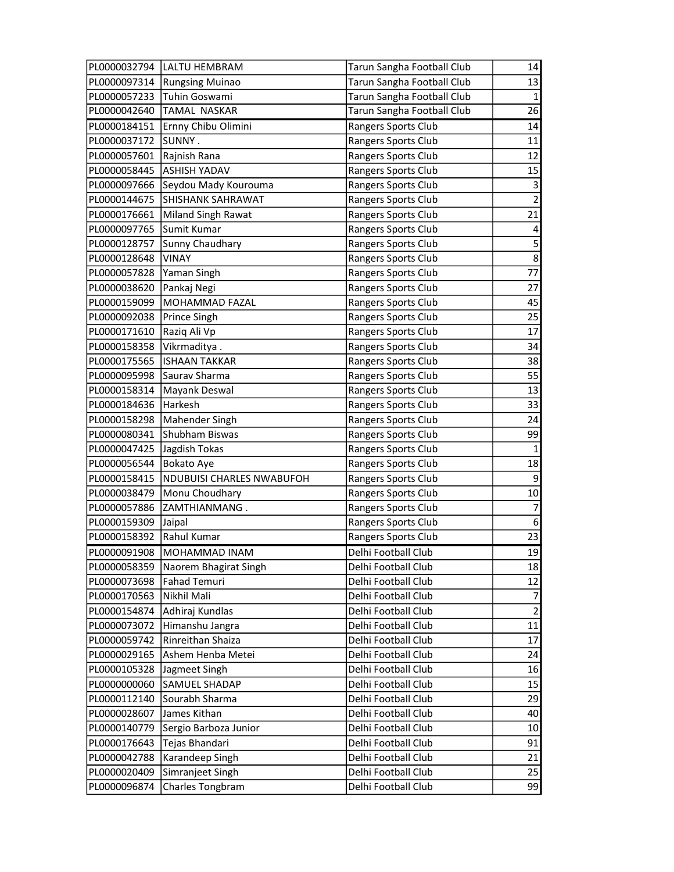|              | PL0000032794  LALTU HEMBRAM | Tarun Sangha Football Club | 14                      |
|--------------|-----------------------------|----------------------------|-------------------------|
| PL0000097314 | <b>Rungsing Muinao</b>      | Tarun Sangha Football Club | 13                      |
| PL0000057233 | Tuhin Goswami               | Tarun Sangha Football Club | $\mathbf{1}$            |
| PL0000042640 | <b>TAMAL NASKAR</b>         | Tarun Sangha Football Club | 26                      |
| PL0000184151 | Ernny Chibu Olimini         | Rangers Sports Club        | 14                      |
| PL0000037172 | SUNNY.                      | Rangers Sports Club        | 11                      |
| PL0000057601 | Rajnish Rana                | Rangers Sports Club        | 12                      |
| PL0000058445 | <b>ASHISH YADAV</b>         | Rangers Sports Club        | 15                      |
| PL0000097666 | Seydou Mady Kourouma        | Rangers Sports Club        | $\vert 3 \vert$         |
| PL0000144675 | <b>SHISHANK SAHRAWAT</b>    | Rangers Sports Club        | $\overline{2}$          |
| PL0000176661 | Miland Singh Rawat          | Rangers Sports Club        | 21                      |
| PL0000097765 | Sumit Kumar                 | Rangers Sports Club        | $\overline{4}$          |
| PL0000128757 | Sunny Chaudhary             | Rangers Sports Club        | $\overline{\mathbf{5}}$ |
| PL0000128648 | <b>VINAY</b>                | Rangers Sports Club        | $\overline{8}$          |
| PL0000057828 | Yaman Singh                 | Rangers Sports Club        | 77                      |
| PL0000038620 | Pankaj Negi                 | Rangers Sports Club        | 27                      |
| PL0000159099 | MOHAMMAD FAZAL              | Rangers Sports Club        | 45                      |
| PL0000092038 | Prince Singh                | Rangers Sports Club        | 25                      |
| PL0000171610 | Raziq Ali Vp                | Rangers Sports Club        | 17                      |
| PL0000158358 | Vikrmaditya.                | Rangers Sports Club        | 34                      |
| PL0000175565 | <b>ISHAAN TAKKAR</b>        | Rangers Sports Club        | 38                      |
| PL0000095998 | Saurav Sharma               | Rangers Sports Club        | 55                      |
| PL0000158314 | Mayank Deswal               | Rangers Sports Club        | 13                      |
| PL0000184636 | Harkesh                     | Rangers Sports Club        | 33                      |
| PL0000158298 | Mahender Singh              | Rangers Sports Club        | 24                      |
| PL0000080341 | Shubham Biswas              | Rangers Sports Club        | 99                      |
| PL0000047425 | Jagdish Tokas               | Rangers Sports Club        | $\mathbf{1}$            |
| PL0000056544 | <b>Bokato Aye</b>           | Rangers Sports Club        | 18                      |
| PL0000158415 | NDUBUISI CHARLES NWABUFOH   | Rangers Sports Club        | $\mathsf{g}$            |
| PL0000038479 | Monu Choudhary              | Rangers Sports Club        | 10                      |
| PL0000057886 | ZAMTHIANMANG.               | Rangers Sports Club        | $\overline{7}$          |
| PL0000159309 | Jaipal                      | Rangers Sports Club        | $\overline{6}$          |
| PL0000158392 | Rahul Kumar                 | Rangers Sports Club        | $\overline{23}$         |
|              | PL0000091908 MOHAMMAD INAM  | Delhi Football Club        | 19                      |
| PL0000058359 | Naorem Bhagirat Singh       | Delhi Football Club        | 18                      |
| PL0000073698 | <b>Fahad Temuri</b>         | Delhi Football Club        | 12                      |
| PL0000170563 | Nikhil Mali                 | Delhi Football Club        | 7                       |
| PL0000154874 | Adhiraj Kundlas             | Delhi Football Club        | $\overline{2}$          |
| PL0000073072 | Himanshu Jangra             | Delhi Football Club        | 11                      |
| PL0000059742 | Rinreithan Shaiza           | Delhi Football Club        | 17                      |
| PL0000029165 | Ashem Henba Metei           | Delhi Football Club        | 24                      |
| PL0000105328 | Jagmeet Singh               | Delhi Football Club        | 16                      |
| PL0000000060 | SAMUEL SHADAP               | Delhi Football Club        | 15                      |
| PL0000112140 | Sourabh Sharma              | Delhi Football Club        | 29                      |
| PL0000028607 | James Kithan                | Delhi Football Club        | 40                      |
| PL0000140779 | Sergio Barboza Junior       | Delhi Football Club        | 10 <sup>1</sup>         |
| PL0000176643 | Tejas Bhandari              | Delhi Football Club        | 91                      |
| PL0000042788 | Karandeep Singh             | Delhi Football Club        | 21                      |
| PL0000020409 | Simranjeet Singh            | Delhi Football Club        | 25                      |
| PL0000096874 | Charles Tongbram            | Delhi Football Club        | 99                      |